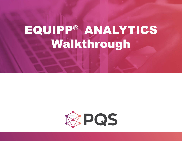# EQUIPP® ANALYTICS Walkthrough

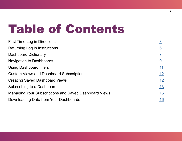# Table of Contents

| <b>First Time Log in Directions</b>                          | $\overline{3}$  |
|--------------------------------------------------------------|-----------------|
| Returning Log in Instructions                                | $\underline{6}$ |
| <b>Dashboard Dictionary</b>                                  |                 |
| Navigation to Dashboards                                     | 9               |
| <b>Using Dashboard filters</b>                               | <u>11</u>       |
| <b>Custom Views and Dashboard Subscriptions</b>              | <u>12</u>       |
| <b>Creating Saved Dashboard Views</b>                        | <u>12</u>       |
| Subscribing to a Dashboard                                   | <u>13</u>       |
| <b>Managing Your Subscriptions and Saved Dashboard Views</b> | <u>15</u>       |
| Downloading Data from Your Dashboards                        | 16              |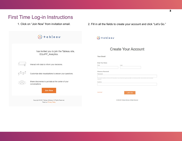#### <span id="page-2-0"></span>First Time Log-in Instructions

1. Click on "Join Now" from invitation email. 2. Fill in all the fields to create your account and click "Let's Go."

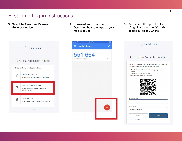### First Time Log-in Instruction[s](https://analytics.pharmacyquality.com/ )

3. Select the One-Time Password Generator option.

- 4. Download and install the Google Authenicator App on your mobile device.
- 5. Once inside the app, click the '+' sign then scan the QR code located in Tableau Online.

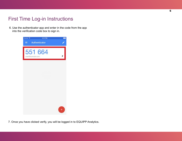# [F](https://analytics.pharmacyquality.com/ )irst Time Log-in Instructions

6. Use the authenticator app and enter in the code from the app into the verification code box to sign in.



7. Once you have clicked verify, you will be logged in to EQUIPP Analytics.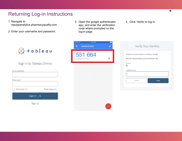# <span id="page-5-0"></span>Returning Log-in Instructions

- 1. Navigate to equippanalytics.pharmacyquality.com
- 2. Enter your username and password.
- 3. Open the google authenticator app, and enter the verification code where prompted on the log-in page.
- 4. Click 'Verify' to log in.

|                                         | Carrier <sub>®</sub><br>2:31 PM<br>Authenticator<br>$\equiv$ | Verify Your Identity                                                                                         |
|-----------------------------------------|--------------------------------------------------------------|--------------------------------------------------------------------------------------------------------------|
| $+\frac{1}{1}+\frac{1}{1}+a p$   e a n. | 551 664<br>user@example.com                                  | To keep your account secure, we verify your identity.<br>Enter the code generated by your authenticator app. |
| Sign in to Tableau Online               |                                                              | Account<br>≗                                                                                                 |
| Email address                           |                                                              | Verification Code                                                                                            |
| Password                                |                                                              | Verify<br>Cancel                                                                                             |
| Remember me<br>Forgot password          |                                                              |                                                                                                              |
| Sign In $\rightarrow$                   |                                                              |                                                                                                              |
| Sign Up                                 | $\ddot{}$                                                    |                                                                                                              |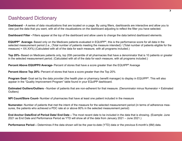#### <span id="page-6-0"></span>Dashboard Dictionary

**Dashboard** – A series of data visualizations that are located on a page. By using filters, dashboards are interactive and allow you to view just the data that you want, with all of the visualizations on the dashboard adjusting to reflect the filter you have selected.

**Dashboard Filter -** Filters appear at the top of the dashboard and allow users to change the data behind dashboard elements.

**EQUIPP® Average-** Based only on the Medicare patients evaluated in EQUIPP®, this is the performance score for all data in the selected measurement period (I.e., (Total number of patients meeting the measure intended) / (Total number of patients eligible for the measure) = XX.XX%) (Calculated with all of the data for each measure, with all programs included.)

**Top 20%-** Based on Medicare patients only, top 20th percentile of all pharmacies that have a denominator that is 10 patients or greater in the selected measurement period. (Calculated with all of the data for each measure, with all programs included.)

**Percent Above EQUIPP® Average-** Percent of stores that have a score greater than the EQUIPP® Average

**Percent Above Top 20%-** Percent of stores that have a score greater than the Top 20%

**Program Goal-** Goal set by the data provider (the health plan or pharmacy benefit manager) to display in EQUIPP®. This will also appear in the "Quality Improvement Program" table found in your EQuIPP dashboard.

**Estimated Outliers/Outliers -** Number of patients that are non-adherent for that measure. (Denominator minus Numerator = Estimated Outliers)

**NPI Count/Store Count-** Number of pharmacies that have at least one patient included in the measure

**Numerator-** Number of patients that met the intent of the measure for the selected measurement period (in terms of adherence measures, the patients who achieved a PDC rate at or above 80% in the selected measurement period)

**End Anchor Date/End of Period Date/ End Date –** The most recent date to be included in the data that is showing. (Example: June 2021 as End Date and Performance Period as YTD will show all of the data from January 2021 – June 2021.)

**Performance Period –** Determines if the data shown will be the year-to-date (YTD) data or the previous 6-month's (6M) data.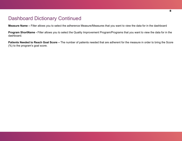#### Dashboard Dictionary Continued

**Measure Name –** Filter allows you to select the adherence Measure/Measures that you want to view the data for in the dashboard

**Program ShortName -** Filter allows you to select the Quality Improvement Program/Programs that you want to view the data for in the dashboard.

**Patients Needed to Reach Goal Score –** The number of patients needed that are adherent for the measure in order to bring the Score (%) to the program's goal score.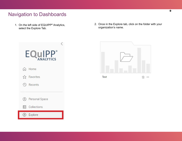### <span id="page-8-0"></span>Navigation to Dashboards

1. On the left side of EQUIPP® Analytics, select the Explore Tab.

 2. Once in the Explore tab, click on the folder with your organization's name.



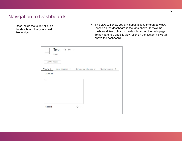#### Navigation to Dashboards

3. Once inside the folder, click on the dashboard that you would like to view.

4. This view will show you any subscriptions or created views based on the dashboard in the tabs above. To view the dashboard itself, click on the dashboard on the main page. To navigate to a specific view, click on the custom views tab above the dashboard.

| 11                | Owner         | Test & 1 |  |                                                           |  |
|-------------------|---------------|----------|--|-----------------------------------------------------------|--|
|                   | Edit Workbook |          |  |                                                           |  |
|                   |               |          |  | Views 1 Data Sources 1 Connected Metrics 0 Custom Views 0 |  |
| <b>Select All</b> |               |          |  |                                                           |  |
| Graec 1           |               |          |  |                                                           |  |
| Sheet 1           |               |          |  |                                                           |  |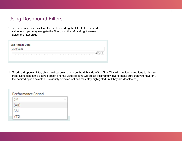### <span id="page-10-0"></span>Using Dashboard Filters

1. To use a slider filter, click on the circle and drag the filter to the desired value. Also, you may navigate the filter using the left and right arrows to adjust the filter value.

|           | <b>End Anchor Date</b> |  |  |
|-----------|------------------------|--|--|
| 6/30/2021 |                        |  |  |
|           |                        |  |  |
|           |                        |  |  |

2. To edit a dropdown filter, click the drop down arrow on the right side of the filter. This will provide the options to choose from. Next, select the desired option and the visualizations will adjust accordingly. (Note: make sure that you have only the desired option selected. Previously selected options may stay highlighted until they are deselected.)

| <b>Performance Period</b> |  |
|---------------------------|--|
| 6M                        |  |
| (AII)                     |  |
| 6M                        |  |
| 11)                       |  |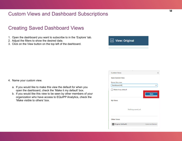#### <span id="page-11-0"></span>Custom Views and Dashboard Subscriptions

### Creating Saved Dashboard Views

- 1. Open the dashboard you want to subscribe to in the 'Explore' tab.
- 2. Adjust the filters to show the desired data.
- 3. Click on the View button on the top left of the dashboard.

| li View: Original |  |  |
|-------------------|--|--|
|                   |  |  |

- 4. Name your custom view.
	- a. If you would like to make this view the default for when you open the dashboard, check the 'Make it my default' box.
	- b. If you would like this view to be seen by other members of your organization who have access to EQuIPP Analytics, check the 'Make visible to others' box.

| <b>Custom Views</b>     |             |
|-------------------------|-------------|
|                         |             |
| <b>Save Custom View</b> |             |
| Name this view          |             |
| Dashboard #1            | ×           |
| Make it my default      |             |
|                         | <b>Save</b> |
| <b>My Views</b>         |             |
| Nothing saved yet       |             |
| <b>Other Views</b>      |             |
|                         |             |
|                         |             |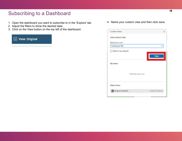# <span id="page-12-0"></span>Subscribing to a Dashboard

- 1. Open the dashboard you want to subscribe to in the 'Explore' tab.
- 2. Adjust the filters to show the desired data.
- 3. Click on the View button on the top left of the dashboard.

#### View: Original

4. Name your custom view and then click save.

| ×              |
|----------------|
|                |
| <b>Save</b>    |
|                |
|                |
|                |
| Cameron Marous |
|                |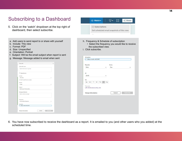| <b>Subscribing to a Dashboard</b>                                                                                                                                                                                                                                                                                                                                                                                                                                                                                                                                                                       | 包<br>ņ.<br>o <sup>©</sup> Share                                                                                                                                                                                                                                                                                                                                               |
|---------------------------------------------------------------------------------------------------------------------------------------------------------------------------------------------------------------------------------------------------------------------------------------------------------------------------------------------------------------------------------------------------------------------------------------------------------------------------------------------------------------------------------------------------------------------------------------------------------|-------------------------------------------------------------------------------------------------------------------------------------------------------------------------------------------------------------------------------------------------------------------------------------------------------------------------------------------------------------------------------|
| 5. Click on the 'watch' dropdown at the top right of<br>dashboard, then select subscribe.                                                                                                                                                                                                                                                                                                                                                                                                                                                                                                               | $\boxdot$ Subscriptions<br>Get scheduled email snapshots of this view                                                                                                                                                                                                                                                                                                         |
| a. Add users to send report to or share with yourself<br>b. Include: This view<br>c. Format: PDF<br>d. Size: Unspecified<br>e. Orientation: Portrait<br>f. Subject: Will be the email subject when report is sent<br>g. Message: Message added to email when sent<br>Subscribe<br>Subscribe Users<br>Type to add users or groups<br>Subscribe me<br>Include<br><b>This View</b><br>Don't send if view is empty<br>Format<br>Image<br>Subject<br>Dashboard 1 Subsciption<br>Message (Optional)<br>Add a custom message<br>Frequency<br>On Selected Schedule<br>Schedule<br>$\vee$ 1 day a week, at 13:40 | h. Frequency & Schedule of subscription<br>• Select the frequency you would like to receive<br>the subscribed view.<br>i. Click subscribe.<br>Schedule<br>$\vee$ 1 day a week, at 13:40<br>Repeats<br>Every<br>Daily<br>Day<br>At<br>13:40<br>On<br>M T W Th<br>F Sa<br>Su<br>Time zone<br>(UTC-05:00) America/New_York<br>Subscribe<br><b>Manage Subscriptions</b><br>Cancel |
| <b>Manage Subscriptions</b><br>Cancel                                                                                                                                                                                                                                                                                                                                                                                                                                                                                                                                                                   |                                                                                                                                                                                                                                                                                                                                                                               |

6. You have now subscribed to receive the dashboard as a report. It is emailed to you (and other users who you added) at the scheduled time.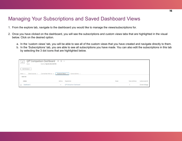#### <span id="page-14-0"></span>Managing Your Subscriptions and Saved Dashboard Views

- 1. From the explore tab, navigate to the dashboard you would like to manage the views/subscriptions for.
- 2. Once you have clicked on the dashboard, you will see the subscriptions and custom views tabs that are highlighted in the visual below. Click on the desired option.
	- a. In the 'custom views' tab, you will be able to see all of the custom views that you have created and navigate directly to them.
	- b. In the 'Subscriptions' tab, you are able to see all subscriptions you have made. You can also edit the subscriptions in this tab by selecting the 3 dot icons that are highlighted below.

|                                                                                       | QIP Comparison Dashboard *<br>$\odot$<br>$\frac{1}{1}$<br>Owner<br>Modified Sep 29, 2021, 9:35 PM |         |                          |                                                                                     |  |                  |                  |  |  |
|---------------------------------------------------------------------------------------|---------------------------------------------------------------------------------------------------|---------|--------------------------|-------------------------------------------------------------------------------------|--|------------------|------------------|--|--|
|                                                                                       | Edit Workbook                                                                                     |         |                          |                                                                                     |  |                  |                  |  |  |
| Custom Views 1<br>Subscriptions 1<br>Data Sources 1<br>Connected Metrics 0<br>Views 5 |                                                                                                   |         |                          |                                                                                     |  |                  |                  |  |  |
| Select All                                                                            |                                                                                                   |         |                          |                                                                                     |  |                  |                  |  |  |
|                                                                                       | t Name                                                                                            | Actions | Original view            | Owner                                                                               |  | Views (all-time) | Last accessed at |  |  |
|                                                                                       | and a property of the control<br>Dashboard 1                                                      |         | QIP Comparison Dashboard | $\mathcal{C}^{\mathcal{A}}_{\mathcal{A}} = \mathcal{C}^{\mathcal{A}}_{\mathcal{A}}$ |  |                  | 12 seconds ago   |  |  |